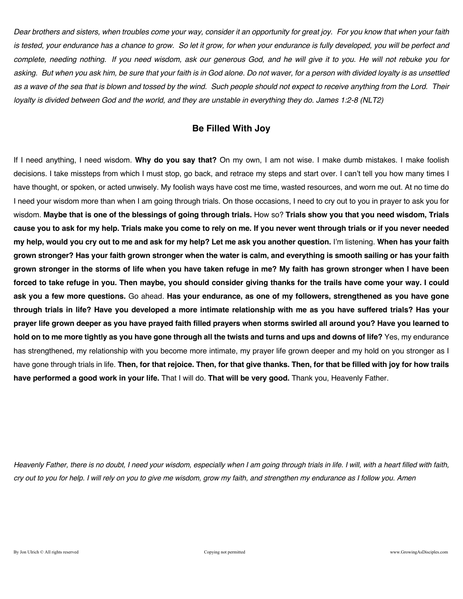*Dear brothers and sisters, when troubles come your way, consider it an opportunity for great joy. For you know that when your faith*  is tested, your endurance has a chance to grow. So let it grow, for when your endurance is fully developed, you will be perfect and *complete, needing nothing. If you need wisdom, ask our generous God, and he will give it to you. He will not rebuke you for*  asking. But when you ask him, be sure that your faith is in God alone. Do not waver, for a person with divided loyalty is as unsettled *as a wave of the sea that is blown and tossed by the wind. Such people should not expect to receive anything from the Lord. Their loyalty is divided between God and the world, and they are unstable in everything they do. James 1:2-8 (NLT2)*

## **Be Filled With Joy**

If I need anything, I need wisdom. **Why do you say that?** On my own, I am not wise. I make dumb mistakes. I make foolish decisions. I take missteps from which I must stop, go back, and retrace my steps and start over. I can't tell you how many times I have thought, or spoken, or acted unwisely. My foolish ways have cost me time, wasted resources, and worn me out. At no time do I need your wisdom more than when I am going through trials. On those occasions, I need to cry out to you in prayer to ask you for wisdom. **Maybe that is one of the blessings of going through trials.** How so? **Trials show you that you need wisdom, Trials cause you to ask for my help. Trials make you come to rely on me. If you never went through trials or if you never needed my help, would you cry out to me and ask for my help? Let me ask you another question.** I'm listening. **When has your faith grown stronger? Has your faith grown stronger when the water is calm, and everything is smooth sailing or has your faith grown stronger in the storms of life when you have taken refuge in me? My faith has grown stronger when I have been forced to take refuge in you. Then maybe, you should consider giving thanks for the trails have come your way. I could ask you a few more questions.** Go ahead. **Has your endurance, as one of my followers, strengthened as you have gone through trials in life? Have you developed a more intimate relationship with me as you have suffered trials? Has your prayer life grown deeper as you have prayed faith filled prayers when storms swirled all around you? Have you learned to hold on to me more tightly as you have gone through all the twists and turns and ups and downs of life?** Yes, my endurance has strengthened, my relationship with you become more intimate, my prayer life grown deeper and my hold on you stronger as I have gone through trials in life. **Then, for that rejoice. Then, for that give thanks. Then, for that be filled with joy for how trails have performed a good work in your life.** That I will do. **That will be very good.** Thank you, Heavenly Father.

*Heavenly Father, there is no doubt, I need your wisdom, especially when I am going through trials in life. I will, with a heart filled with faith, cry out to you for help. I will rely on you to give me wisdom, grow my faith, and strengthen my endurance as I follow you. Amen*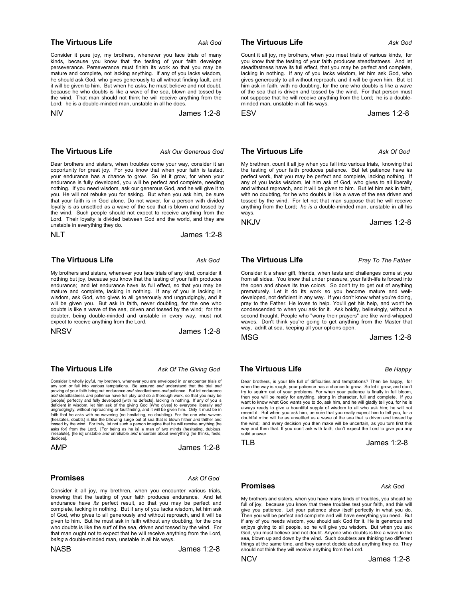Consider it pure joy, my brothers, whenever you face trials of many kinds, because you know that the testing of your faith develops perseverance. Perseverance must finish its work so that you may be mature and complete, not lacking anything. If any of you lacks wisdom, he should ask God, who gives generously to all without finding fault, and it will be given to him. But when he asks, he must believe and not doubt, because he who doubts is like a wave of the sea, blown and tossed by the wind. That man should not think he will receive anything from the Lord; he is a double-minded man, unstable in all he does.

### **The Virtuous Life** *Ask Our Generous God*

Dear brothers and sisters, when troubles come your way, consider it an opportunity for great joy. For you know that when your faith is tested, your endurance has a chance to grow. So let it grow, for when your endurance is fully developed, you will be perfect and complete, needing nothing. If you need wisdom, ask our generous God, and he will give it to you. He will not rebuke you for asking. But when you ask him, be sure that your faith is in God alone. Do not waver, for a person with divided loyalty is as unsettled as a wave of the sea that is blown and tossed by the wind. Such people should not expect to receive anything from the Lord. Their loyalty is divided between God and the world, and they are unstable in everything they do.

NLT James 1:2-8

### **The Virtuous Life** *Ask God*

My brothers and sisters, whenever you face trials of any kind, consider it nothing but joy, because you know that the testing of your faith produces endurance; and let endurance have its full effect, so that you may be mature and complete, lacking in nothing. If any of you is lacking in wisdom, ask God, who gives to all generously and ungrudgingly, and it will be given you. But ask in faith, never doubting, for the one who doubts is like a wave of the sea, driven and tossed by the wind; for the doubter, being double-minded and unstable in every way, must not expect to receive anything from the Lord.

**The Virtuous Life** *Ask Of The Giving God*

Consider it wholly joyful, my brethren, whenever you are enveloped in *or* encounter trials of any sort or fall into various temptations. Be assured *and* understand that the trial and proving of your faith bring out endurance and steadfastness and patience. But let endurance payer and steadfastness and patience hav asks for] from the Lord, [For being as he is] a man of two minds (hesitating, dubious, irresolute), [he is] unstable *and* unreliable *and* uncertain about everything [he thinks, feels, decides].

AMP James 1:2-8

### **Promises** *Ask Of God*

Consider it all joy, my brethren, when you encounter various trials, knowing that the testing of your faith produces endurance. And let endurance have *its* perfect result, so that you may be perfect and complete, lacking in nothing. But if any of you lacks wisdom, let him ask of God, who gives to all generously and without reproach, and it will be given to him. But he must ask in faith without any doubting, for the one who doubts is like the surf of the sea, driven and tossed by the wind. For that man ought not to expect that he will receive anything from the Lord, *being* a double-minded man, unstable in all his ways.

NASB James 1:2-8

### **The Virtuous Life** *Ask God*

Count it all joy, my brothers, when you meet trials of various kinds, for you know that the testing of your faith produces steadfastness. And let steadfastness have its full effect, that you may be perfect and complete, lacking in nothing. If any of you lacks wisdom, let him ask God, who gives generously to all without reproach, and it will be given him. But let him ask in faith, with no doubting, for the one who doubts is like a wave of the sea that is driven and tossed by the wind. For that person must not suppose that he will receive anything from the Lord; he is a doubleminded man, unstable in all his ways.

ESVJames 1:2-8

### **The Virtuous Life** *Ask Of God*

My brethren, count it all joy when you fall into various trials, knowing that the testing of your faith produces patience. But let patience have *its* perfect work, that you may be perfect and complete, lacking nothing. If any of you lacks wisdom, let him ask of God, who gives to all liberally and without reproach, and it will be given to him. But let him ask in faith, with no doubting, for he who doubts is like a wave of the sea driven and tossed by the wind. For let not that man suppose that he will receive anything from the Lord; *he is* a double-minded man, unstable in all his ways.

NKJV James 1:2-8

Consider it a sheer gift, friends, when tests and challenges come at you from all sides. You know that under pressure, your faith-life is forced into the open and shows its true colors. So don't try to get out of anything prematurely. Let it do its work so you become mature and welldeveloped, not deficient in any way. If you don't know what you're doing, pray to the Father. He loves to help. You'll get his help, and won't be condescended to when you ask for it. Ask boldly, believingly, without a second thought. People who "worry their prayers" are like wind-whipped waves. Don't think you're going to get anything from the Master that way, adrift at sea, keeping all your options open.

 **The Virtuous Life** *Be Happy*

Dear brothers, is your life full of difficulties and temptations? Then be happy, for when the way is rough, your patience has a chance to grow. So let it grow, and don't<br>try to squirm out of your problems. For when your patience is finally in full bloom,<br>then you will be ready for anything, strong in char want to know what God wants you to do, ask him, and he will gladly tell you, for he is always ready to give a bountiful supply of wisdom to all who ask him; he will not resent it. But when you ask him, be sure that you really expect him to tell you, for a doubtful mind will be as unsettled as a wave of the sea that is driven and tossed by the wind; and every decision you then make will be uncertain, as you turn first this way and then that. If you don't ask with faith, don't expect the Lord to give you any solid answer.

TLBJames 1:2-8

### **Promises** *Ask God*

My brothers and sisters, when you have many kinds of troubles, you should be full of joy, because you know that these troubles test your faith, and this will give you patience. Let your patience show itself perfectly in what you do. Then you will be perfect and complete and will have everything you need. But if any of you needs wisdom, you should ask God for it. He is generous and enjoys giving to all people, so he will give you wisdom. But when you ask God, you must believe and not doubt. Anyone who doubts is like a wave in the sea, blown up and down by the wind. Such doubters are thinking two different things at the same time, and they cannot decide about anything they do. They should not think they will receive anything from the Lord.

**The Virtuous Life** *Pray To The Father*

MSG James 1:2-8

NRSVJames 1:2-8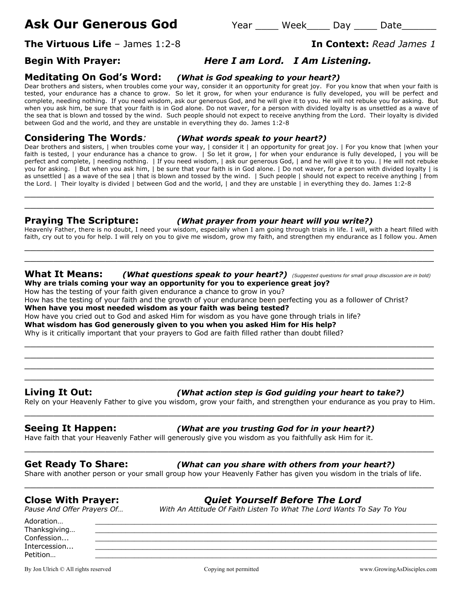# Ask Our Generous God Year Meek Day Date

**The Virtuous Life** – James 1:2-8 **In Context:** *Read James 1*

## **Begin With Prayer:** *Here I am Lord. I Am Listening.*

### **Meditating On God's Word:** *(What is God speaking to your heart?)*

Dear brothers and sisters, when troubles come your way, consider it an opportunity for great joy. For you know that when your faith is tested, your endurance has a chance to grow. So let it grow, for when your endurance is fully developed, you will be perfect and complete, needing nothing. If you need wisdom, ask our generous God, and he will give it to you. He will not rebuke you for asking. But when you ask him, be sure that your faith is in God alone. Do not waver, for a person with divided loyalty is as unsettled as a wave of the sea that is blown and tossed by the wind. Such people should not expect to receive anything from the Lord. Their loyalty is divided between God and the world, and they are unstable in everything they do. James 1:2-8

### **Considering The Words***: (What words speak to your heart?)*

Dear brothers and sisters, | when troubles come your way, | consider it | an opportunity for great joy. | For you know that |when your faith is tested, | your endurance has a chance to grow. | So let it grow, | for when your endurance is fully developed, | you will be perfect and complete, | needing nothing. | If you need wisdom, | ask our generous God, | and he will give it to you. | He will not rebuke you for asking. | But when you ask him, | be sure that your faith is in God alone. | Do not waver, for a person with divided loyalty | is as unsettled | as a wave of the sea | that is blown and tossed by the wind. | Such people | should not expect to receive anything | from the Lord. | Their loyalty is divided | between God and the world, | and they are unstable | in everything they do. James 1:2-8

 $\_$  , and the set of the set of the set of the set of the set of the set of the set of the set of the set of the set of the set of the set of the set of the set of the set of the set of the set of the set of the set of th  $\_$  , and the set of the set of the set of the set of the set of the set of the set of the set of the set of the set of the set of the set of the set of the set of the set of the set of the set of the set of the set of th

### **Praying The Scripture:** *(What prayer from your heart will you write?)*

Heavenly Father, there is no doubt, I need your wisdom, especially when I am going through trials in life. I will, with a heart filled with faith, cry out to you for help. I will rely on you to give me wisdom, grow my faith, and strengthen my endurance as I follow you. Amen

 $\_$  , and the set of the set of the set of the set of the set of the set of the set of the set of the set of the set of the set of the set of the set of the set of the set of the set of the set of the set of the set of th \_\_\_\_\_\_\_\_\_\_\_\_\_\_\_\_\_\_\_\_\_\_\_\_\_\_\_\_\_\_\_\_\_\_\_\_\_\_\_\_\_\_\_\_\_\_\_\_\_\_\_\_\_\_\_\_\_\_\_\_\_\_\_\_\_\_\_\_\_\_\_

### **What It Means:** *(What questions speak to your heart?) (Suggested questions for small group discussion are in bold)* **Why are trials coming your way an opportunity for you to experience great joy?**

How has the testing of your faith given endurance a chance to grow in you?

How has the testing of your faith and the growth of your endurance been perfecting you as a follower of Christ?

**When have you most needed wisdom as your faith was being tested?**

How have you cried out to God and asked Him for wisdom as you have gone through trials in life?

**What wisdom has God generously given to you when you asked Him for His help?**

Why is it critically important that your prayers to God are faith filled rather than doubt filled?

### **Living It Out:** *(What action step is God guiding your heart to take?)*

Rely on your Heavenly Father to give you wisdom, grow your faith, and strengthen your endurance as you pray to Him.  $\_$  , and the set of the set of the set of the set of the set of the set of the set of the set of the set of the set of the set of the set of the set of the set of the set of the set of the set of the set of the set of th

 $\_$  , and the set of the set of the set of the set of the set of the set of the set of the set of the set of the set of the set of the set of the set of the set of the set of the set of the set of the set of the set of th

 $\_$  , and the set of the set of the set of the set of the set of the set of the set of the set of the set of the set of the set of the set of the set of the set of the set of the set of the set of the set of the set of th

 $\_$  , and the set of the set of the set of the set of the set of the set of the set of the set of the set of the set of the set of the set of the set of the set of the set of the set of the set of the set of the set of th  $\_$  , and the set of the set of the set of the set of the set of the set of the set of the set of the set of the set of the set of the set of the set of the set of the set of the set of the set of the set of the set of th  $\_$  , and the set of the set of the set of the set of the set of the set of the set of the set of the set of the set of the set of the set of the set of the set of the set of the set of the set of the set of the set of th  $\_$  , and the set of the set of the set of the set of the set of the set of the set of the set of the set of the set of the set of the set of the set of the set of the set of the set of the set of the set of the set of th

### **Seeing It Happen:** *(What are you trusting God for in your heart?)*

Have faith that your Heavenly Father will generously give you wisdom as you faithfully ask Him for it.

### **Get Ready To Share:** *(What can you share with others from your heart?)*

Share with another person or your small group how your Heavenly Father has given you wisdom in the trials of life.

**Close With Prayer:** *Quiet Yourself Before The Lord Pause And Attitude Of Faith Listen To What The Lord Wants To Say To You* 

Adoration… \_\_\_\_\_\_\_\_\_\_\_\_\_\_\_\_\_\_\_\_\_\_\_\_\_\_\_\_\_\_\_\_\_\_\_\_\_\_\_\_\_\_\_\_\_\_\_\_\_\_\_\_\_\_\_\_\_\_\_\_\_\_\_\_\_\_\_\_\_\_\_\_\_\_\_\_\_\_\_ Thanksgiving... Confession... \_\_\_\_\_\_\_\_\_\_\_\_\_\_\_\_\_\_\_\_\_\_\_\_\_\_\_\_\_\_\_\_\_\_\_\_\_\_\_\_\_\_\_\_\_\_\_\_\_\_\_\_\_\_\_\_\_\_\_\_\_\_\_\_\_\_\_\_\_\_\_\_\_\_\_\_\_\_\_  ${\bf Intercession} {\bf . . .}$ Petition… \_\_\_\_\_\_\_\_\_\_\_\_\_\_\_\_\_\_\_\_\_\_\_\_\_\_\_\_\_\_\_\_\_\_\_\_\_\_\_\_\_\_\_\_\_\_\_\_\_\_\_\_\_\_\_\_\_\_\_\_\_\_\_\_\_\_\_\_\_\_\_\_\_\_\_\_\_\_\_

By Jon Ulrich © All rights reserved Copying not permitted www.GrowingAsDisciples.com